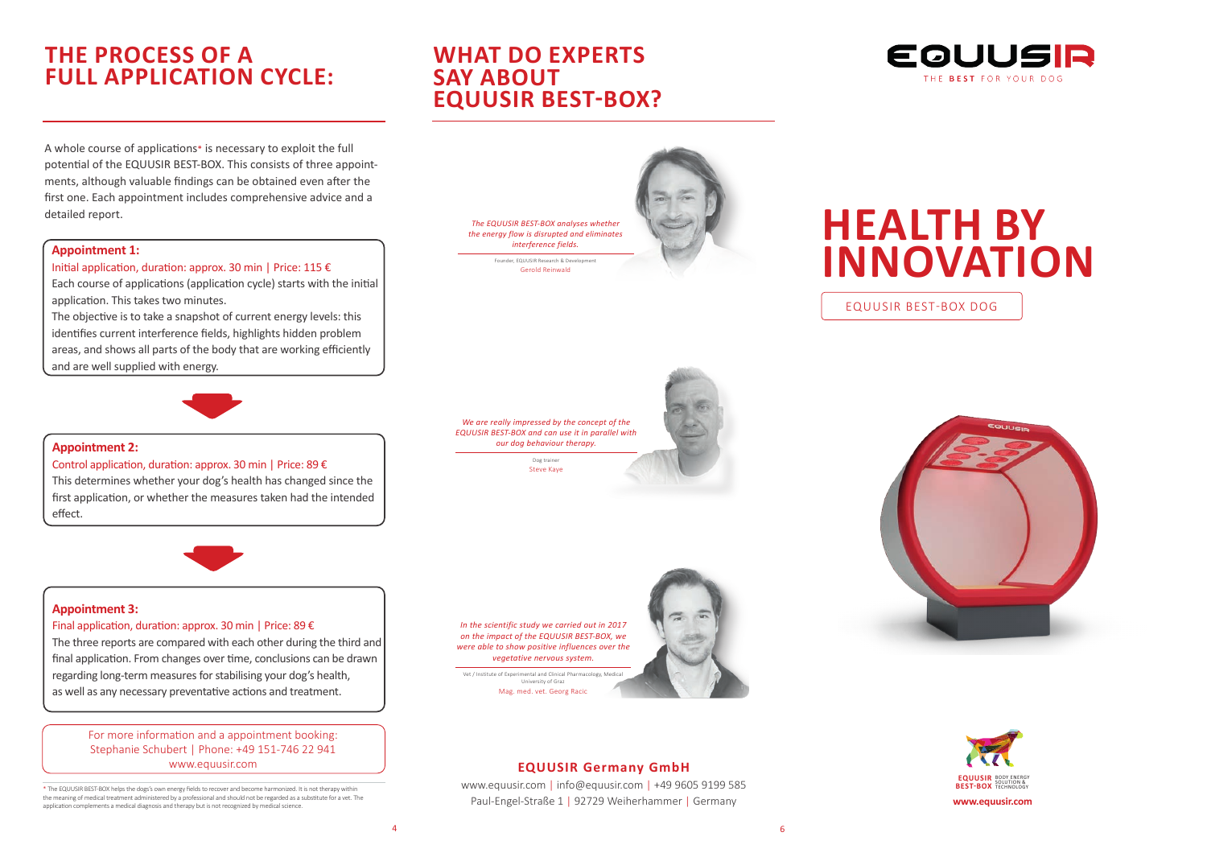# **THE PROCESS OF A FULL APPLICATION CYCLE:**

A whole course of applications\* is necessary to exploit the full potential of the EQUUSIR BEST-BOX. This consists of three appointments, although valuable findings can be obtained even after the first one. Each appointment includes comprehensive advice and a detailed report.

### **Appointment 1:**

Initial application, duration: approx. 30 min | Price: 115  $\epsilon$ 

Each course of applications (application cycle) starts with the initial application. This takes two minutes.

The objective is to take a snapshot of current energy levels: this identifies current interference fields, highlights hidden problem areas, and shows all parts of the body that are working efficiently and are well supplied with energy.



### **Appointment 2:**

### Control application, duration: approx. 30 min | Price: 89 €

This determines whether your dog's health has changed since the first application, or whether the measures taken had the intended effect.



### **Appointment 3:**

### Final application, duration: approx. 30 min | Price: 89 €

The three reports are compared with each other during the third and final application. From changes over time, conclusions can be drawn regarding long-term measures for stabilising your dog's health, as well as any necessary preventative actions and treatment.

> For more information and a appointment booking: Stephanie Schubert | Phone: +49 151-746 22 941 www.equusir.com

\* The EQUUSIR BEST-BOX helps the dogs's own energy fields to recover and become harmonized. It is not therapy within the meaning of medical treatment administered by a professional and should not be regarded as a substitute for a vet. The application complements a medical diagnosis and therapy but is not recognized by medical science.

## **WHAT DO EXPERTS SAY ABOUT EQUUSIR BEST-BOX?**







### **EQUUSIR Germany GmbH**

www.equusir.com | info@equusir.com | +49 9605 9199 585 Paul-Engel-Straße 1 | 92729 Weiherhammer | Germany